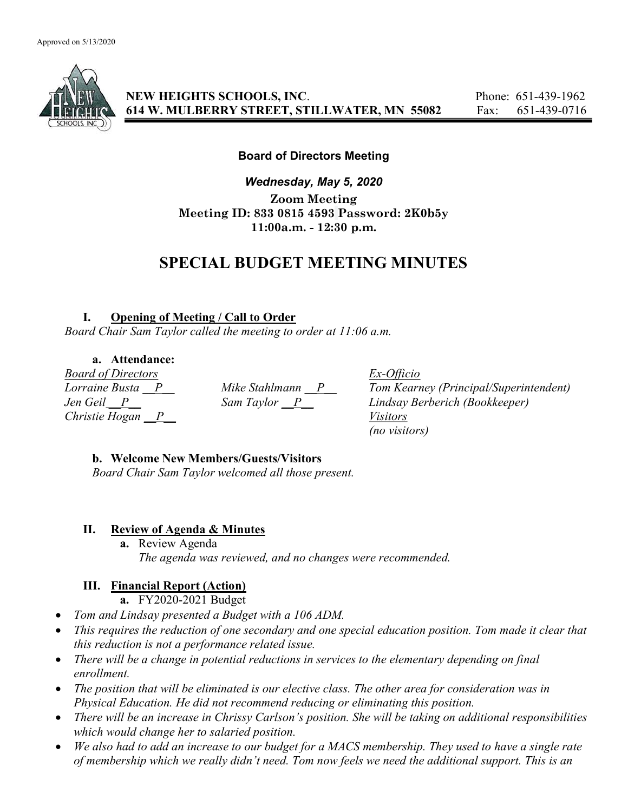

NEW HEIGHTS SCHOOLS, INC. Phone: 651-439-1962 614 W. MULBERRY STREET, STILLWATER, MN 55082 Fax: 651-439-0716

### Board of Directors Meeting

Wednesday, May 5, 2020 Zoom Meeting Meeting ID: 833 0815 4593 Password: 2K0b5y 11:00a.m. - 12:30 p.m.

# SPECIAL BUDGET MEETING MINUTES

#### I. Opening of Meeting / Call to Order

Board Chair Sam Taylor called the meeting to order at 11:06 a.m.

#### a. Attendance:

Board of Directors Ex-Officio Christie Hogan  $\overline{P}$  Visitors

Lorraine Busta  $P$  Mike Stahlmann  $P$  Tom Kearney (Principal/Superintendent) Jen Geil P Sam Taylor P Lindsay Berberich (Bookkeeper) (no visitors)

#### b. Welcome New Members/Guests/Visitors

Board Chair Sam Taylor welcomed all those present.

#### II. Review of Agenda & Minutes

a. Review Agenda The agenda was reviewed, and no changes were recommended.

## III. Financial Report (Action)

- a. FY2020-2021 Budget
- Tom and Lindsay presented a Budget with a 106 ADM.
- This requires the reduction of one secondary and one special education position. Tom made it clear that this reduction is not a performance related issue.
- There will be a change in potential reductions in services to the elementary depending on final enrollment.
- The position that will be eliminated is our elective class. The other area for consideration was in Physical Education. He did not recommend reducing or eliminating this position.
- There will be an increase in Chrissy Carlson's position. She will be taking on additional responsibilities which would change her to salaried position.
- We also had to add an increase to our budget for a MACS membership. They used to have a single rate of membership which we really didn't need. Tom now feels we need the additional support. This is an